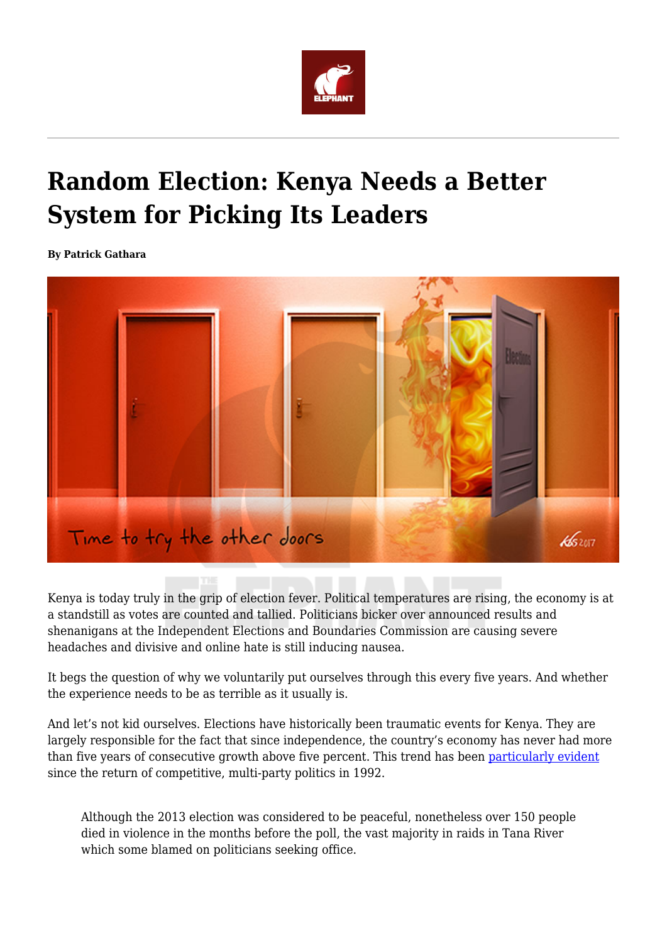

## **Random Election: Kenya Needs a Better System for Picking Its Leaders**

**By Patrick Gathara**



Kenya is today truly in the grip of election fever. Political temperatures are rising, the economy is at a standstill as votes are counted and tallied. Politicians bicker over announced results and shenanigans at the Independent Elections and Boundaries Commission are causing severe headaches and divisive and online hate is still inducing nausea.

It begs the question of why we voluntarily put ourselves through this every five years. And whether the experience needs to be as terrible as it usually is.

And let's not kid ourselves. Elections have historically been traumatic events for Kenya. They are largely responsible for the fact that since independence, the country's economy has never had more than five years of consecutive growth above five percent. This trend has been [particularly evident](http://www.ieakenya.or.ke/number_of_the_week/average-growth-rates-during-electioneering-periods-from-1992-to-2013) since the return of competitive, multi-party politics in 1992.

Although the 2013 election was considered to be peaceful, nonetheless over 150 people died in violence in the months before the poll, the vast majority in raids in Tana River which some blamed on politicians seeking office.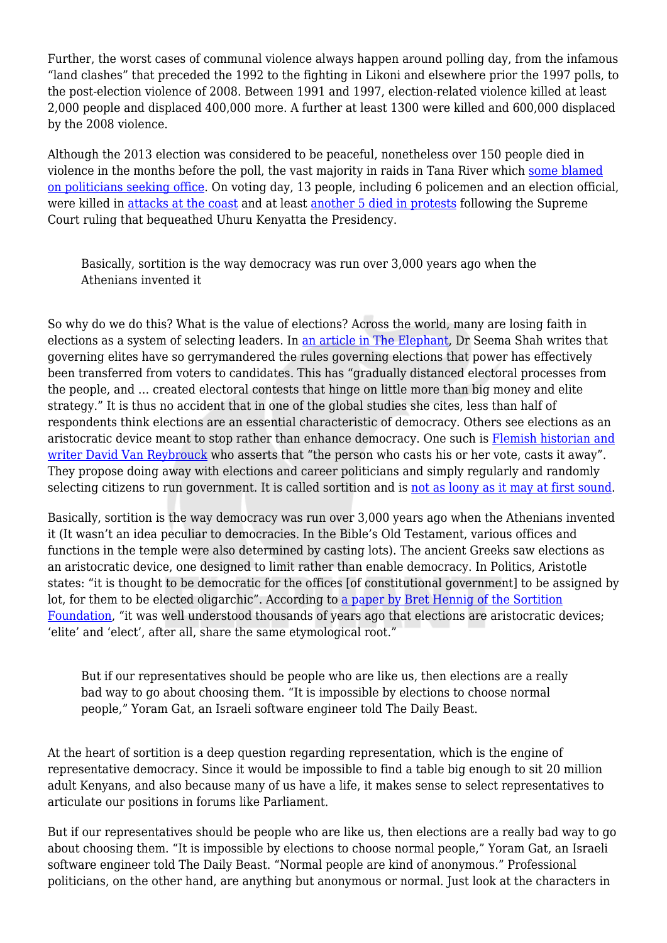Further, the worst cases of communal violence always happen around polling day, from the infamous "land clashes" that preceded the 1992 to the fighting in Likoni and elsewhere prior the 1997 polls, to the post-election violence of 2008. Between 1991 and 1997, election-related violence killed at least 2,000 people and displaced 400,000 more. A further at least 1300 were killed and 600,000 displaced by the 2008 violence.

Although the 2013 election was considered to be peaceful, nonetheless over 150 people died in violence in the months before the poll, the vast majority in raids in Tana River which [some blamed](https://africajournalismtheworld.com/2012/11/07/kenya-tana-river-clashes-a-bad-omen-for-election-time/) [on politicians seeking office.](https://africajournalismtheworld.com/2012/11/07/kenya-tana-river-clashes-a-bad-omen-for-election-time/) On voting day, 13 people, including 6 policemen and an election official, were killed in [attacks at the coast](https://www.theguardian.com/world/2013/mar/04/kenyan-elections-marred-mombasa-violence) and at least [another 5 died in protests](https://www.questia.com/newspaper/1P2-36300687/protests-erupt-as-court-validates-kenya-election) following the Supreme Court ruling that bequeathed Uhuru Kenyatta the Presidency.

Basically, sortition is the way democracy was run over 3,000 years ago when the Athenians invented it

So why do we do this? What is the value of elections? Across the world, many are losing faith in elections as a system of selecting leaders. In [an article in The Elephant,](https://www.theelephant.info/future/2017/06/29/why-bother-to-vote-why-elections-are-losing-their-lustre/) Dr Seema Shah writes that governing elites have so gerrymandered the rules governing elections that power has effectively been transferred from voters to candidates. This has "gradually distanced electoral processes from the people, and … created electoral contests that hinge on little more than big money and elite strategy." It is thus no accident that in one of the global studies she cites, less than half of respondents think elections are an essential characteristic of democracy. Others see elections as an aristocratic device meant to stop rather than enhance democracy. One such is [Flemish historian and](http://theconversation.com/are-elections-ruining-democracy-54962) [writer David Van Reybrouck](http://theconversation.com/are-elections-ruining-democracy-54962) who asserts that "the person who casts his or her vote, casts it away". They propose doing away with elections and career politicians and simply regularly and randomly selecting citizens to run government. It is called sortition and is [not as loony as it may at first sound](https://www.youtube.com/watch?v=-FsOH4KQp54).

Basically, sortition is the way democracy was run over 3,000 years ago when the Athenians invented it (It wasn't an idea peculiar to democracies. In the Bible's Old Testament, various offices and functions in the temple were also determined by casting lots). The ancient Greeks saw elections as an aristocratic device, one designed to limit rather than enable democracy. In Politics, Aristotle states: "it is thought to be democratic for the offices [of constitutional government] to be assigned by lot, for them to be elected oligarchic". According to [a paper by Bret Hennig of the Sortition](https://www.psa.ac.uk/sites/default/files/conference/papers/2017/Hennig%2C%20Brett%20-%20The%20End%20of%20Politicians_0.pdf) [Foundation,](https://www.psa.ac.uk/sites/default/files/conference/papers/2017/Hennig%2C%20Brett%20-%20The%20End%20of%20Politicians_0.pdf) "it was well understood thousands of years ago that elections are aristocratic devices; 'elite' and 'elect', after all, share the same etymological root."

But if our representatives should be people who are like us, then elections are a really bad way to go about choosing them. "It is impossible by elections to choose normal people," Yoram Gat, an Israeli software engineer told The Daily Beast.

At the heart of sortition is a deep question regarding representation, which is the engine of representative democracy. Since it would be impossible to find a table big enough to sit 20 million adult Kenyans, and also because many of us have a life, it makes sense to select representatives to articulate our positions in forums like Parliament.

But if our representatives should be people who are like us, then elections are a really bad way to go about choosing them. "It is impossible by elections to choose normal people," Yoram Gat, an Israeli software engineer told The Daily Beast. "Normal people are kind of anonymous." Professional politicians, on the other hand, are anything but anonymous or normal. Just look at the characters in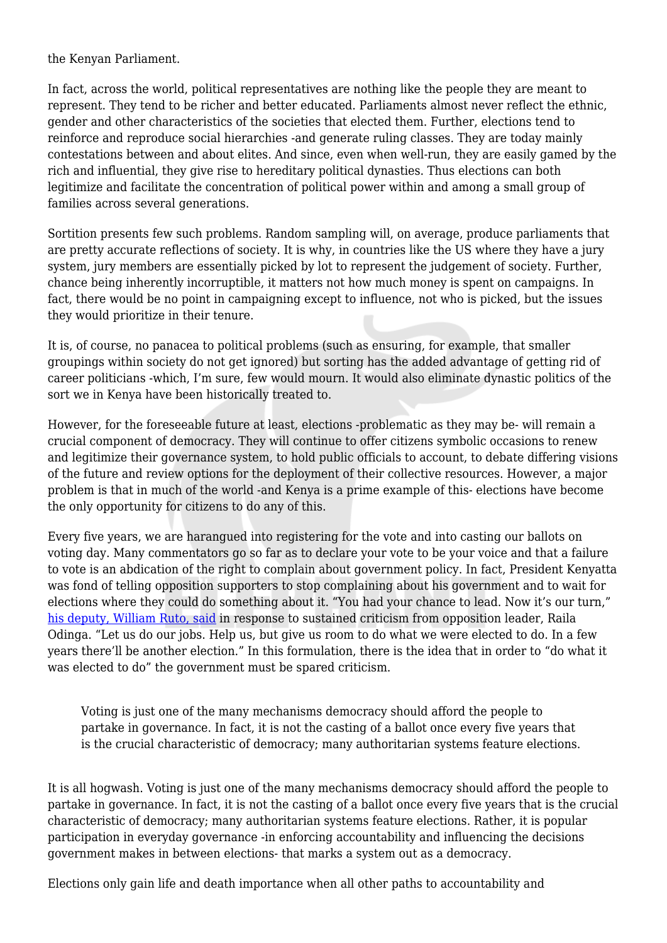the Kenyan Parliament.

In fact, across the world, political representatives are nothing like the people they are meant to represent. They tend to be richer and better educated. Parliaments almost never reflect the ethnic, gender and other characteristics of the societies that elected them. Further, elections tend to reinforce and reproduce social hierarchies -and generate ruling classes. They are today mainly contestations between and about elites. And since, even when well-run, they are easily gamed by the rich and influential, they give rise to hereditary political dynasties. Thus elections can both legitimize and facilitate the concentration of political power within and among a small group of families across several generations.

Sortition presents few such problems. Random sampling will, on average, produce parliaments that are pretty accurate reflections of society. It is why, in countries like the US where they have a jury system, jury members are essentially picked by lot to represent the judgement of society. Further, chance being inherently incorruptible, it matters not how much money is spent on campaigns. In fact, there would be no point in campaigning except to influence, not who is picked, but the issues they would prioritize in their tenure.

It is, of course, no panacea to political problems (such as ensuring, for example, that smaller groupings within society do not get ignored) but sorting has the added advantage of getting rid of career politicians -which, I'm sure, few would mourn. It would also eliminate dynastic politics of the sort we in Kenya have been historically treated to.

However, for the foreseeable future at least, elections -problematic as they may be- will remain a crucial component of democracy. They will continue to offer citizens symbolic occasions to renew and legitimize their governance system, to hold public officials to account, to debate differing visions of the future and review options for the deployment of their collective resources. However, a major problem is that in much of the world -and Kenya is a prime example of this- elections have become the only opportunity for citizens to do any of this.

Every five years, we are harangued into registering for the vote and into casting our ballots on voting day. Many commentators go so far as to declare your vote to be your voice and that a failure to vote is an abdication of the right to complain about government policy. In fact, President Kenyatta was fond of telling opposition supporters to stop complaining about his government and to wait for elections where they could do something about it. "You had your chance to lead. Now it's our turn," [his deputy, William Ruto, said](http://www.capitalfm.co.ke/news/2015/05/uhuru-to-raila-wait-for-your-time-to-lead/) in response to sustained criticism from opposition leader, Raila Odinga. "Let us do our jobs. Help us, but give us room to do what we were elected to do. In a few years there'll be another election." In this formulation, there is the idea that in order to "do what it was elected to do" the government must be spared criticism.

Voting is just one of the many mechanisms democracy should afford the people to partake in governance. In fact, it is not the casting of a ballot once every five years that is the crucial characteristic of democracy; many authoritarian systems feature elections.

It is all hogwash. Voting is just one of the many mechanisms democracy should afford the people to partake in governance. In fact, it is not the casting of a ballot once every five years that is the crucial characteristic of democracy; many authoritarian systems feature elections. Rather, it is popular participation in everyday governance -in enforcing accountability and influencing the decisions government makes in between elections- that marks a system out as a democracy.

Elections only gain life and death importance when all other paths to accountability and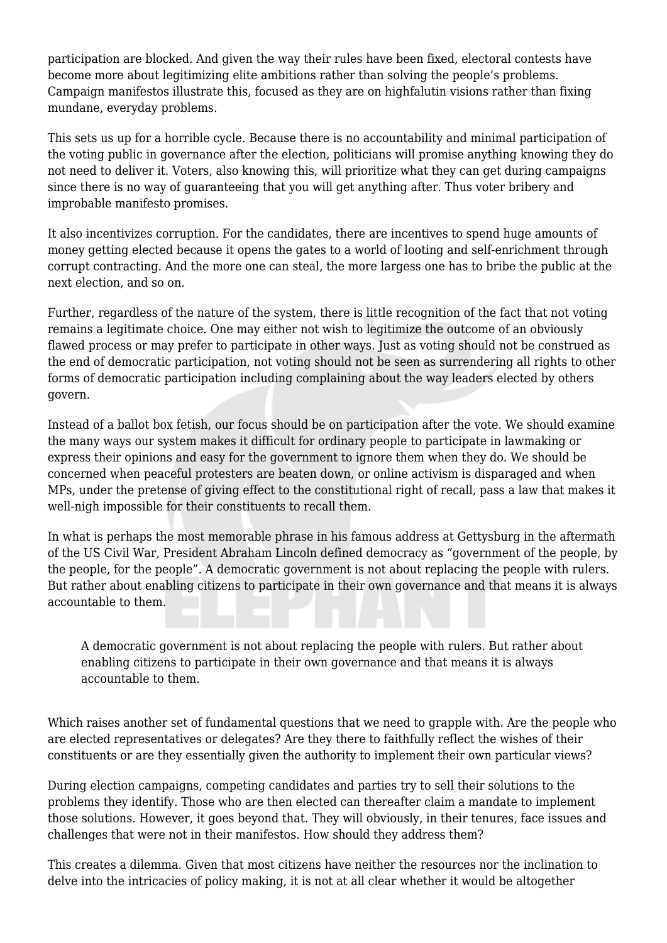participation are blocked. And given the way their rules have been fixed, electoral contests have become more about legitimizing elite ambitions rather than solving the people's problems. Campaign manifestos illustrate this, focused as they are on highfalutin visions rather than fixing mundane, everyday problems.

This sets us up for a horrible cycle. Because there is no accountability and minimal participation of the voting public in governance after the election, politicians will promise anything knowing they do not need to deliver it. Voters, also knowing this, will prioritize what they can get during campaigns since there is no way of guaranteeing that you will get anything after. Thus voter bribery and improbable manifesto promises.

It also incentivizes corruption. For the candidates, there are incentives to spend huge amounts of money getting elected because it opens the gates to a world of looting and self-enrichment through corrupt contracting. And the more one can steal, the more largess one has to bribe the public at the next election, and so on.

Further, regardless of the nature of the system, there is little recognition of the fact that not voting remains a legitimate choice. One may either not wish to legitimize the outcome of an obviously flawed process or may prefer to participate in other ways. Just as voting should not be construed as the end of democratic participation, not voting should not be seen as surrendering all rights to other forms of democratic participation including complaining about the way leaders elected by others govern.

Instead of a ballot box fetish, our focus should be on participation after the vote. We should examine the many ways our system makes it difficult for ordinary people to participate in lawmaking or express their opinions and easy for the government to ignore them when they do. We should be concerned when peaceful protesters are beaten down, or online activism is disparaged and when MPs, under the pretense of giving effect to the constitutional right of recall, pass a law that makes it well-nigh impossible for their constituents to recall them.

In what is perhaps the most memorable phrase in his famous address at Gettysburg in the aftermath of the US Civil War, President Abraham Lincoln defined democracy as "government of the people, by the people, for the people". A democratic government is not about replacing the people with rulers. But rather about enabling citizens to participate in their own governance and that means it is always accountable to them.

A democratic government is not about replacing the people with rulers. But rather about enabling citizens to participate in their own governance and that means it is always accountable to them.

Which raises another set of fundamental questions that we need to grapple with. Are the people who are elected representatives or delegates? Are they there to faithfully reflect the wishes of their constituents or are they essentially given the authority to implement their own particular views?

During election campaigns, competing candidates and parties try to sell their solutions to the problems they identify. Those who are then elected can thereafter claim a mandate to implement those solutions. However, it goes beyond that. They will obviously, in their tenures, face issues and challenges that were not in their manifestos. How should they address them?

This creates a dilemma. Given that most citizens have neither the resources nor the inclination to delve into the intricacies of policy making, it is not at all clear whether it would be altogether